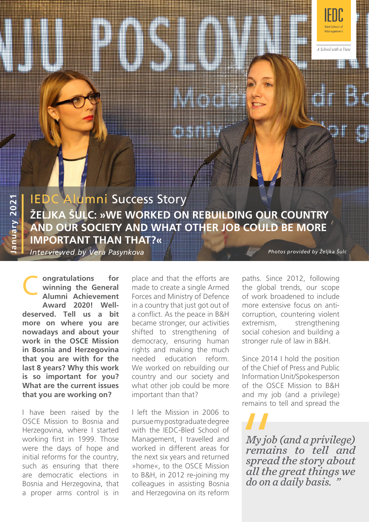

## IEDC Alumni Success Story **ŽELJKA ŠULC: »WE WORKED ON REBUILDING OUR COUNTRY AND OUR SOCIETY AND WHAT OTHER JOB COULD BE MORE IMPORTANT THAN THAT?«**

*Interviewed by Vera Pasynkova*

**C ongratulations for** place and that the efforts are winning the General made to create a single Armed **Alumni Achievement** Forces and Ministry of Defence **ongratulations for winning the General Alumni Achievement Award 2020! Welldeserved. Tell us a bit more on where you are nowadays and about your work in the OSCE Mission in Bosnia and Herzegovina that you are with for the last 8 years? Why this work is so important for you? What are the current issues that you are working on?**

I have been raised by the OSCE Mission to Bosnia and Herzegovina, where I started working first in 1999. Those were the days of hope and initial reforms for the country, such as ensuring that there are democratic elections in Bosnia and Herzegovina, that a proper arms control is in

made to create a single Armed Forces and Ministry of Defence in a country that just got out of a conflict. As the peace in B&H became stronger, our activities shifted to strengthening of democracy, ensuring human rights and making the much needed education reform. We worked on rebuilding our country and our society and what other job could be more important than that?

I left the Mission in 2006 to pursue my postgraduate degree with the IEDC-Bled School of Management, I travelled and worked in different areas for the next six years and returned »home«, to the OSCE Mission to B&H, in 2012 re-joining my colleagues in assisting Bosnia and Herzegovina on its reform

paths. Since 2012, following the global trends, our scope of work broadened to include more extensive focus on anticorruption, countering violent extremism, strengthening social cohesion and building a stronger rule of law in B&H.

*Photos provided by Željka Šulc*

Since 2014 I hold the position of the Chief of Press and Public Information Unit/Spokesperson of the OSCE Mission to B&H and my job (and a privilege) remains to tell and spread the

*My job (and a privilege) remains to tell and spread the story about all the great things we*  My job<br>
My job<br>
remain<br>
spread<br>
all the *do on a daily basis. "*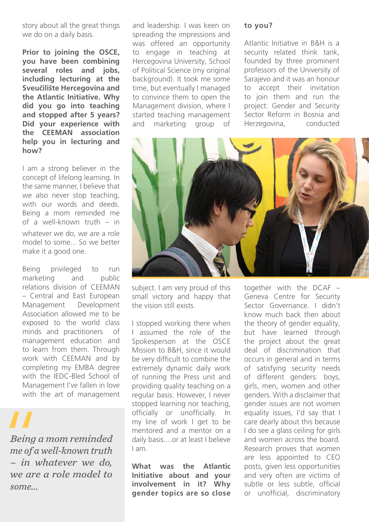story about all the great things we do on a daily basis.

**Prior to joining the OSCE, you have been combining several roles and jobs, including lecturing at the Sveučilište Hercegovina and the Atlantic Initiative. Why did you go into teaching and stopped after 5 years? Did your experience with the CEEMAN association help you in lecturing and how?**

I am a strong believer in the concept of lifelong learning. In the same manner, I believe that we also never stop teaching, with our words and deeds. Being a mom reminded me of a well-known truth – in whatever we do, we are a role model to some... So we better make it a good one.

Being privileged to run marketing and public relations division of CEEMAN – Central and East European Management Development Association allowed me to be exposed to the world class minds and practitioners of management education and to learn from them. Through work with CEEMAN and by completing my EMBA degree with the IEDC-Bled School of Management I've fallen in love with the art of management

*Being a mom reminded me of a well-known truth – in whatever we do, we are a role model to some...* Being comments of the series of the series of the series of the series of the series of the series of the series of the series of the series of the series of the series of the series of the series of the series of the seri

and leadership. I was keen on spreading the impressions and was offered an opportunity to engage in teaching at Hercegovina University, School of Political Science (my original background). It took me some time, but eventually I managed to convince them to open the Management division, where I started teaching management and marketing group of

## **to you?**

Atlantic Initiative in B&H is a security related think tank, founded by three prominent professors of the University of Sarajevo and it was an honour to accept their invitation to join them and run the project: Gender and Security Sector Reform in Bosnia and Herzegovina, conducted



subject. I am very proud of this small victory and happy that the vision still exists.

I stopped working there when I assumed the role of the Spokesperson at the OSCE Mission to B&H, since it would be very difficult to combine the extremely dynamic daily work of running the Press unit and providing quality teaching on a regular basis. However, I never stopped learning nor teaching, officially or unofficially. In my line of work I get to be mentored and a mentor on a daily basis....or at least I believe I am.

**What was the Atlantic Initiative about and your involvement in it? Why gender topics are so close**  together with the DCAF – Geneva Centre for Security Sector Governance. I didn't know much back then about the theory of gender equality, but have learned through the project about the great deal of discrimination that occurs in general and in terms of satisfying security needs of different genders: boys, girls, men, women and other genders. With a disclaimer that gender issues are not women equality issues, I'd say that I care dearly about this because I do see a glass ceiling for girls and women across the board. Research proves that women are less appointed to CEO posts, given less opportunities and very often are victims of subtle or less subtle, official or unofficial, discriminatory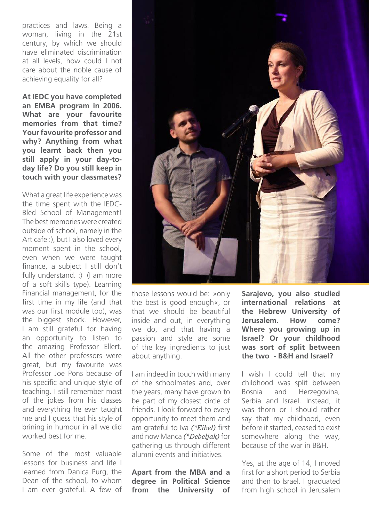practices and laws. Being a woman, living in the 21st century, by which we should have eliminated discrimination at all levels, how could I not care about the noble cause of achieving equality for all?

**At IEDC you have completed an EMBA program in 2006. What are your favourite memories from that time? Your favourite professor and why? Anything from what you learnt back then you still apply in your day-today life? Do you still keep in touch with your classmates?**

What a great life experience was the time spent with the IEDC-Bled School of Management! The best memories were created outside of school, namely in the Art cafe :), but I also loved every moment spent in the school, even when we were taught finance, a subject I still don't fully understand. :) (I am more of a soft skills type). Learning Financial management, for the first time in my life (and that was our first module too), was the biggest shock. However, I am still grateful for having an opportunity to listen to the amazing Professor Ellert. All the other professors were great, but my favourite was Professor Joe Pons because of his specific and unique style of teaching. I still remember most of the jokes from his classes and everything he ever taught me and I guess that his style of brining in humour in all we did worked best for me.

Some of the most valuable lessons for business and life I learned from Danica Purg, the Dean of the school, to whom I am ever grateful. A few of



those lessons would be: »only the best is good enough«, or that we should be beautiful inside and out, in everything we do, and that having a passion and style are some of the key ingredients to just about anything.

I am indeed in touch with many of the schoolmates and, over the years, many have grown to be part of my closest circle of friends. I look forward to every opportunity to meet them and am grateful to Iva *(\*Eibel)* first and now Manca *(\*Debeljak)* for gathering us through different alumni events and initiatives.

**Apart from the MBA and a degree in Political Science from the University of** 

**Sarajevo, you also studied international relations at the Hebrew University of Jerusalem. How come? Where you growing up in Israel? Or your childhood was sort of split between the two - B&H and Israel?**

I wish I could tell that my childhood was split between Bosnia and Herzegovina, Serbia and Israel. Instead, it was thorn or I should rather say that my childhood, even before it started, ceased to exist somewhere along the way, because of the war in B&H.

Yes, at the age of 14, I moved first for a short period to Serbia and then to Israel. I graduated from high school in Jerusalem